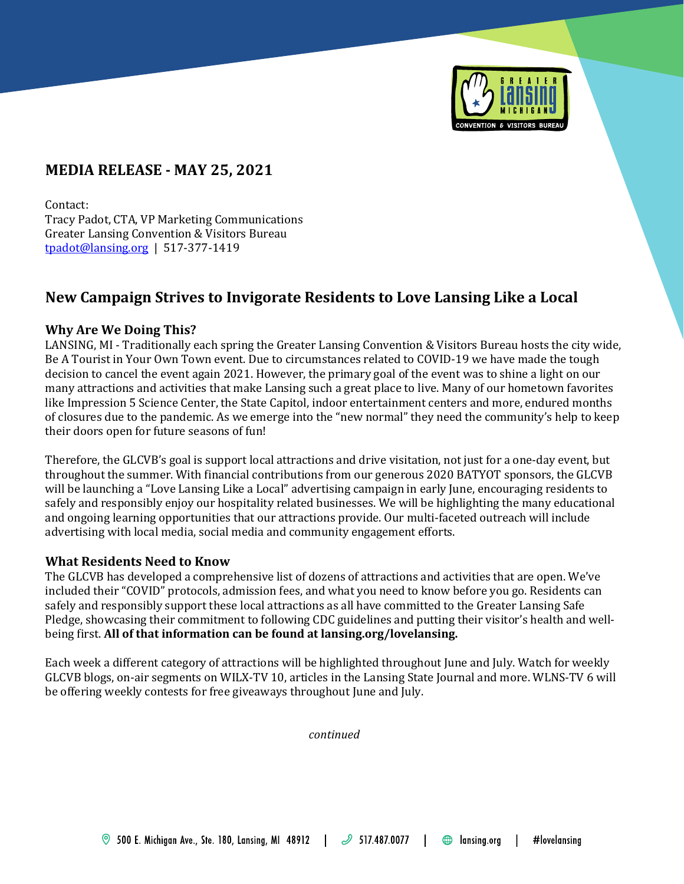

# **MEDIA RELEASE - MAY 25, 2021**

Contact: Tracy Padot, CTA, VP Marketing Communications Greater Lansing Convention & Visitors Bureau [tpadot@lansing.org](mailto:tpadot@lansing.org) | 517-377-1419

## **New Campaign Strives to Invigorate Residents to Love Lansing Like a Local**

## **Why Are We Doing This?**

LANSING, MI - Traditionally each spring the Greater Lansing Convention & Visitors Bureau hosts the city wide, Be A Tourist in Your Own Town event. Due to circumstances related to COVID-19 we have made the tough decision to cancel the event again 2021. However, the primary goal of the event was to shine a light on our many attractions and activities that make Lansing such a great place to live. Many of our hometown favorites like Impression 5 Science Center, the State Capitol, indoor entertainment centers and more, endured months of closures due to the pandemic. As we emerge into the "new normal" they need the community's help to keep their doors open for future seasons of fun!

Therefore, the GLCVB's goal is support local attractions and drive visitation, not just for a one-day event, but throughout the summer. With financial contributions from our generous 2020 BATYOT sponsors, the GLCVB will be launching a "Love Lansing Like a Local" advertising campaign in early June, encouraging residents to safely and responsibly enjoy our hospitality related businesses. We will be highlighting the many educational and ongoing learning opportunities that our attractions provide. Our multi-faceted outreach will include advertising with local media, social media and community engagement efforts.

## **What Residents Need to Know**

The GLCVB has developed a comprehensive list of dozens of attractions and activities that are open. We've included their "COVID" protocols, admission fees, and what you need to know before you go. Residents can safely and responsibly support these local attractions as all have committed to the Greater Lansing Safe Pledge, showcasing their commitment to following CDC guidelines and putting their visitor's health and wellbeing first. **All of that information can be found at lansing.org/lovelansing.**

Each week a different category of attractions will be highlighted throughout June and July. Watch for weekly GLCVB blogs, on-air segments on WILX-TV 10, articles in the Lansing State Journal and more. WLNS-TV 6 will be offering weekly contests for free giveaways throughout June and July.

*continued*